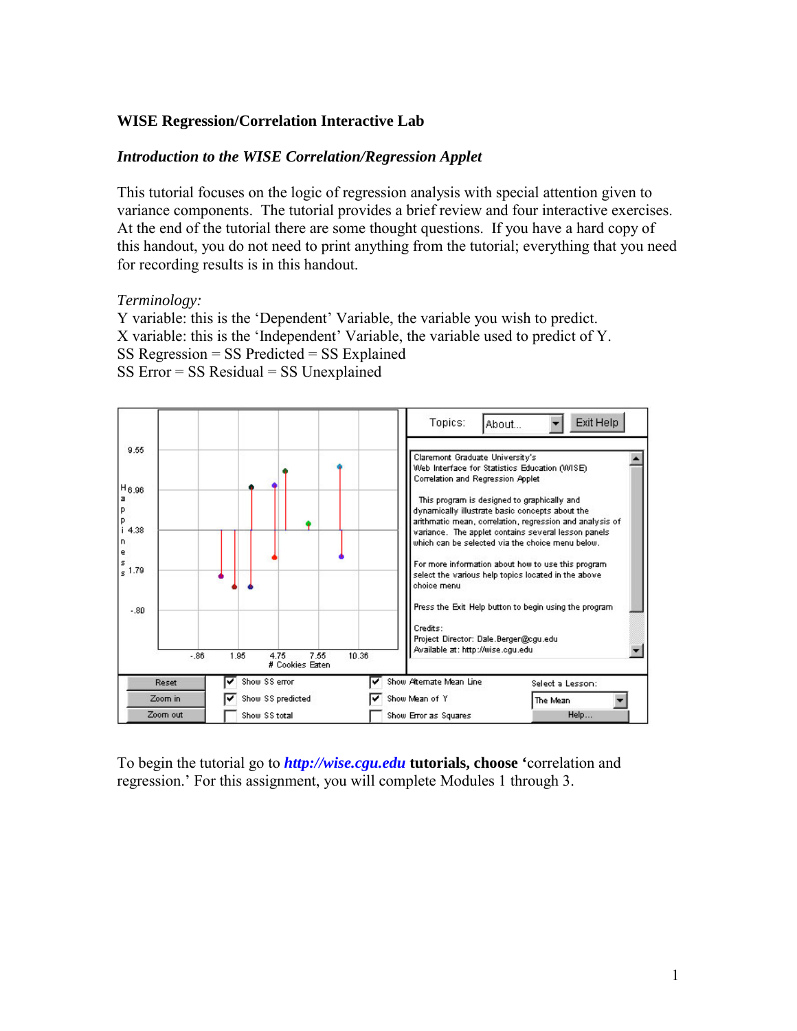## **WISE Regression/Correlation Interactive Lab**

#### *Introduction to the WISE Correlation/Regression Applet*

This tutorial focuses on the logic of regression analysis with special attention given to variance components. The tutorial provides a brief review and four interactive exercises. At the end of the tutorial there are some thought questions. If you have a hard copy of this handout, you do not need to print anything from the tutorial; everything that you need for recording results is in this handout.

#### *Terminology:*

Y variable: this is the 'Dependent' Variable, the variable you wish to predict. X variable: this is the 'Independent' Variable, the variable used to predict of Y. SS Regression = SS Predicted = SS Explained  $SS Error = SS Residual = SS Unexplained$ 



To begin the tutorial go to *[http://wise.cgu.edu](http://wise.cgu.edu/)* **tutorials, choose '**correlation and regression.' For this assignment, you will complete Modules 1 through 3.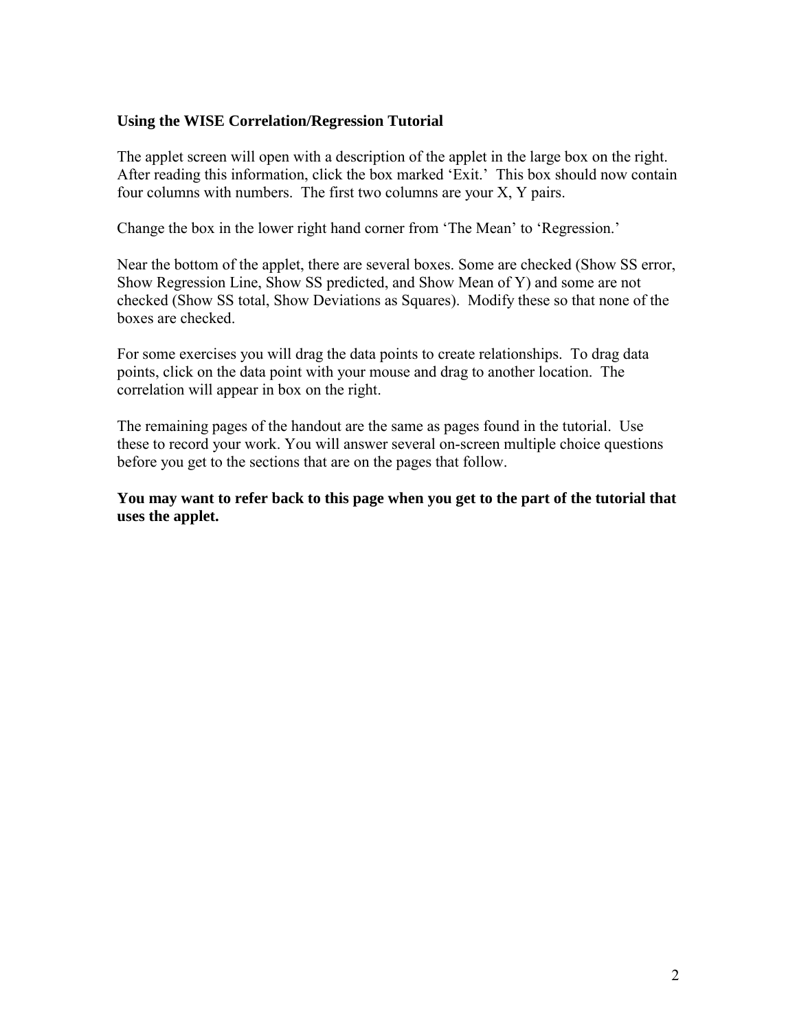## **Using the WISE Correlation/Regression Tutorial**

The applet screen will open with a description of the applet in the large box on the right. After reading this information, click the box marked 'Exit.' This box should now contain four columns with numbers. The first two columns are your X, Y pairs.

Change the box in the lower right hand corner from 'The Mean' to 'Regression.'

Near the bottom of the applet, there are several boxes. Some are checked (Show SS error, Show Regression Line, Show SS predicted, and Show Mean of Y) and some are not checked (Show SS total, Show Deviations as Squares). Modify these so that none of the boxes are checked.

For some exercises you will drag the data points to create relationships. To drag data points, click on the data point with your mouse and drag to another location. The correlation will appear in box on the right.

The remaining pages of the handout are the same as pages found in the tutorial. Use these to record your work. You will answer several on-screen multiple choice questions before you get to the sections that are on the pages that follow.

**You may want to refer back to this page when you get to the part of the tutorial that uses the applet.**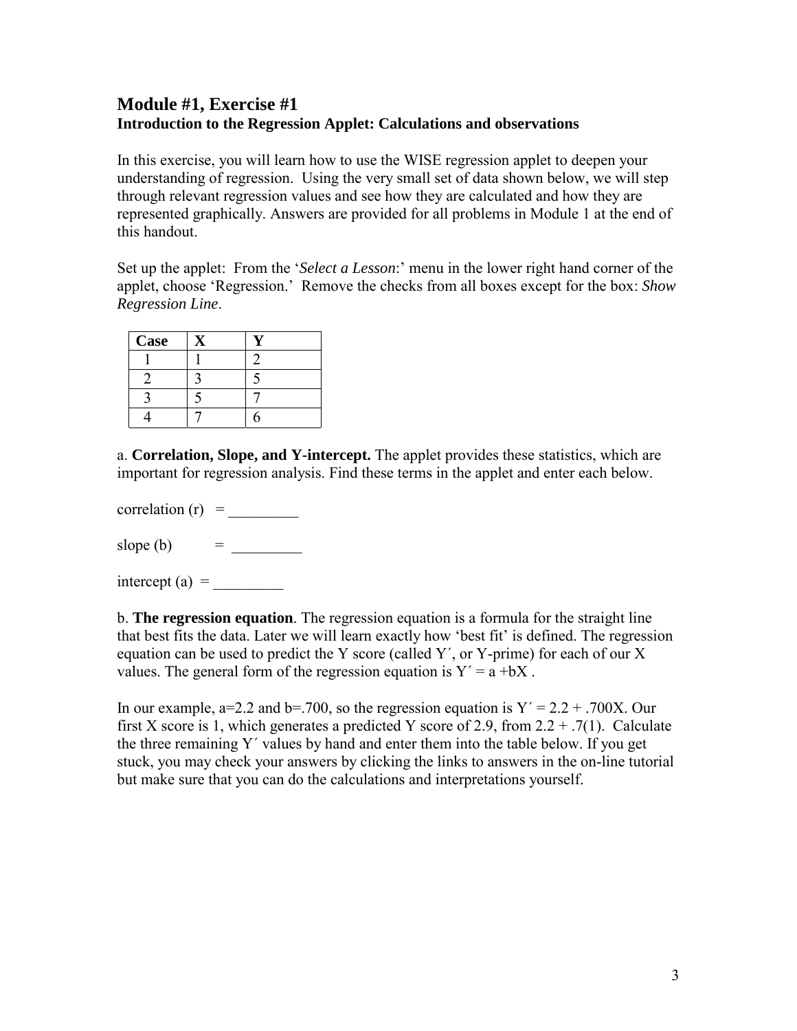# **Module #1, Exercise #1 Introduction to the Regression Applet: Calculations and observations**

In this exercise, you will learn how to use the WISE regression applet to deepen your understanding of regression. Using the very small set of data shown below, we will step through relevant regression values and see how they are calculated and how they are represented graphically. Answers are provided for all problems in Module 1 at the end of this handout.

Set up the applet: From the '*Select a Lesson*:' menu in the lower right hand corner of the applet, choose 'Regression.' Remove the checks from all boxes except for the box: *Show Regression Line*.

| Case |  |
|------|--|
|      |  |
|      |  |
|      |  |
|      |  |

a. **Correlation, Slope, and Y-intercept.** The applet provides these statistics, which are important for regression analysis. Find these terms in the applet and enter each below.

correlation  $(r)$  =

slope (b) = \_\_\_\_\_\_\_\_\_

intercept (a)  $=$ 

b. **The regression equation**. The regression equation is a formula for the straight line that best fits the data. Later we will learn exactly how 'best fit' is defined. The regression equation can be used to predict the Y score (called Y´, or Y-prime) for each of our X values. The general form of the regression equation is  $Y' = a + bX$ .

In our example,  $a=2.2$  and b=.700, so the regression equation is  $Y' = 2.2 + 0.700X$ . Our first X score is 1, which generates a predicted Y score of 2.9, from  $2.2 + .7(1)$ . Calculate the three remaining Y´ values by hand and enter them into the table below. If you get stuck, you may check your answers by clicking the links to answers in the on-line tutorial but make sure that you can do the calculations and interpretations yourself.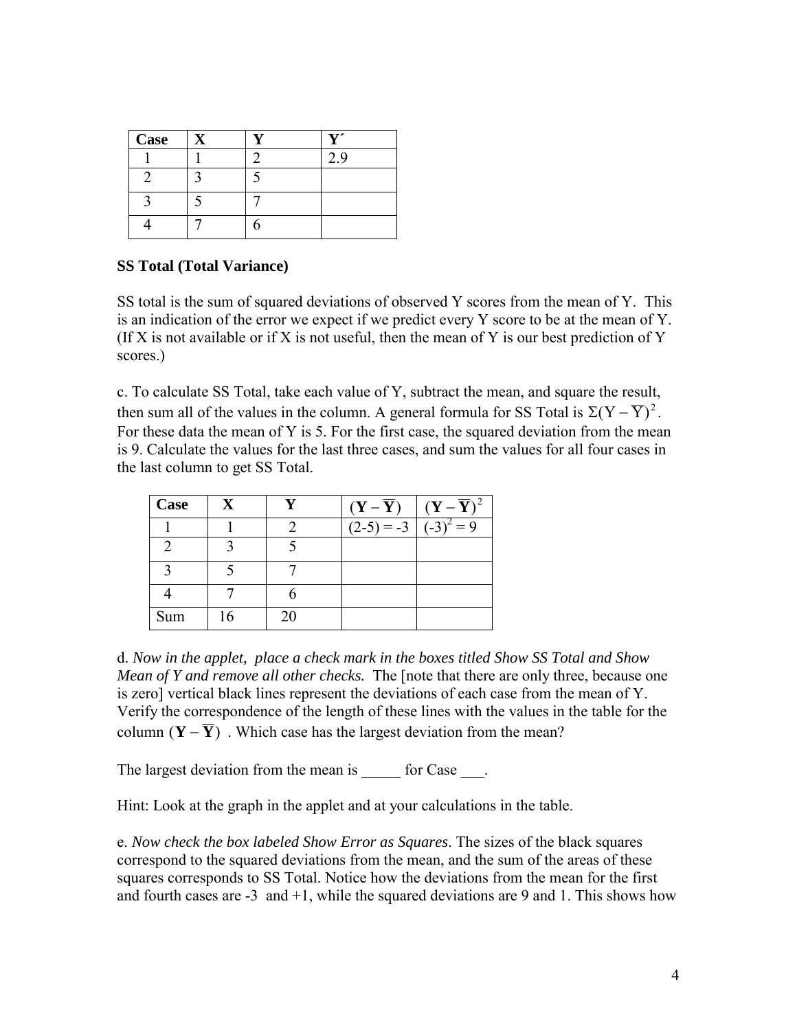| <b>Case</b> |  | . |
|-------------|--|---|
|             |  | q |
|             |  |   |
|             |  |   |
|             |  |   |

#### **SS Total (Total Variance)**

SS total is the sum of squared deviations of observed Y scores from the mean of Y. This is an indication of the error we expect if we predict every Y score to be at the mean of Y. (If X is not available or if X is not useful, then the mean of Y is our best prediction of Y scores.)

c. To calculate SS Total, take each value of Y, subtract the mean, and square the result, then sum all of the values in the column. A general formula for SS Total is  $\Sigma (Y - \overline{Y})^2$ . For these data the mean of Y is 5. For the first case, the squared deviation from the mean is 9. Calculate the values for the last three cases, and sum the values for all four cases in the last column to get SS Total.

| Case |    |    | $(Y-\overline{Y})$ | $\int (\mathbf{Y}-\overline{\mathbf{Y}})^2$ |
|------|----|----|--------------------|---------------------------------------------|
|      |    |    | $(2-5) = -3$       | $(-3)^2 = 9$                                |
|      |    |    |                    |                                             |
|      |    |    |                    |                                             |
|      |    |    |                    |                                             |
| Sum  | 16 | 20 |                    |                                             |

d. *Now in the applet, place a check mark in the boxes titled Show SS Total and Show Mean of Y and remove all other checks.* The [note that there are only three, because one is zero] vertical black lines represent the deviations of each case from the mean of Y. Verify the correspondence of the length of these lines with the values in the table for the column  $(Y - \overline{Y})$ . Which case has the largest deviation from the mean?

The largest deviation from the mean is for Case  $\qquad$ .

Hint: Look at the graph in the applet and at your calculations in the table.

e. *Now check the box labeled Show Error as Squares*. The sizes of the black squares correspond to the squared deviations from the mean, and the sum of the areas of these squares corresponds to SS Total. Notice how the deviations from the mean for the first and fourth cases are  $-3$  and  $+1$ , while the squared deviations are 9 and 1. This shows how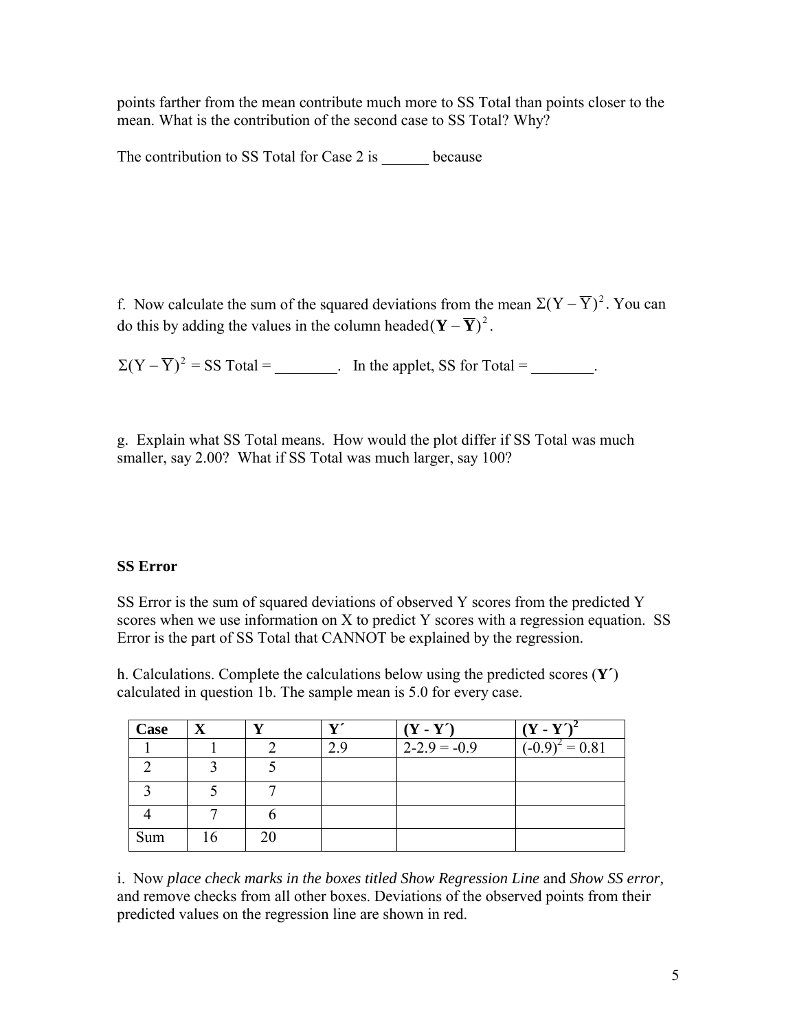points farther from the mean contribute much more to SS Total than points closer to the mean. What is the contribution of the second case to SS Total? Why?

The contribution to SS Total for Case 2 is because

f. Now calculate the sum of the squared deviations from the mean  $\Sigma (Y - \overline{Y})^2$ . You can do this by adding the values in the column headed  $(\mathbf{Y} - \overline{\mathbf{Y}})^2$ .

 $\Sigma (Y - \overline{Y})^2 = SS \text{ Total} =$  In the applet, SS for Total = \_\_\_\_\_\_\_.

g. Explain what SS Total means. How would the plot differ if SS Total was much smaller, say 2.00? What if SS Total was much larger, say 100?

#### **SS Error**

SS Error is the sum of squared deviations of observed Y scores from the predicted Y scores when we use information on X to predict Y scores with a regression equation. SS Error is the part of SS Total that CANNOT be explained by the regression.

h. Calculations. Complete the calculations below using the predicted scores (**Y´**) calculated in question 1b. The sample mean is 5.0 for every case.

| Case |  | $\mathbf{v}$ | $(Y - Y')$       | $(Y - Y')$                   |
|------|--|--------------|------------------|------------------------------|
|      |  | 2.9          | $2 - 2.9 = -0.9$ | $\overline{(-0.9)^2}$ = 0.81 |
|      |  |              |                  |                              |
|      |  |              |                  |                              |
|      |  |              |                  |                              |
| Sum  |  |              |                  |                              |

i. Now *place check marks in the boxes titled Show Regression Line* and *Show SS error,* and remove checks from all other boxes. Deviations of the observed points from their predicted values on the regression line are shown in red.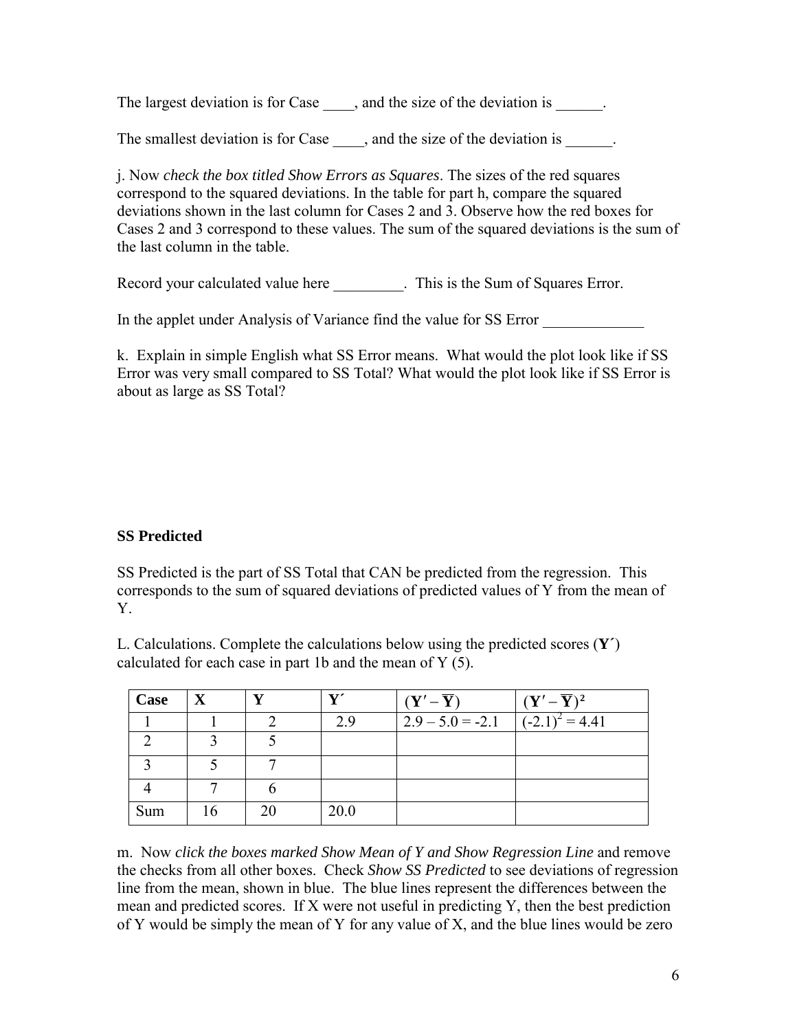The largest deviation is for Case  $\qquad$ , and the size of the deviation is

The smallest deviation is for Case same and the size of the deviation is setting the smallest deviation is  $\frac{1}{\sqrt{2\pi}}$ .

j. Now *check the box titled Show Errors as Squares*. The sizes of the red squares correspond to the squared deviations. In the table for part h, compare the squared deviations shown in the last column for Cases 2 and 3. Observe how the red boxes for Cases 2 and 3 correspond to these values. The sum of the squared deviations is the sum of the last column in the table.

Record your calculated value here This is the Sum of Squares Error.

In the applet under Analysis of Variance find the value for SS Error

k. Explain in simple English what SS Error means. What would the plot look like if SS Error was very small compared to SS Total? What would the plot look like if SS Error is about as large as SS Total?

# **SS Predicted**

SS Predicted is the part of SS Total that CAN be predicted from the regression. This corresponds to the sum of squared deviations of predicted values of Y from the mean of Y.

L. Calculations. Complete the calculations below using the predicted scores (**Y´**) calculated for each case in part 1b and the mean of Y (5).

| Case | $\mathbf X$ |    | 71   | $(Y'-\overline{Y})$ | $(Y'-\overline{Y})^2$ |
|------|-------------|----|------|---------------------|-----------------------|
|      |             |    | 29   | $2.9 - 5.0 = -2.1$  | $(-2.1)^2 = 4.41$     |
|      |             |    |      |                     |                       |
|      |             |    |      |                     |                       |
|      |             |    |      |                     |                       |
| Sum  | 16          | 20 | 20.0 |                     |                       |

m. Now *click the boxes marked Show Mean of Y and Show Regression Line* and remove the checks from all other boxes. Check *Show SS Predicted* to see deviations of regression line from the mean, shown in blue. The blue lines represent the differences between the mean and predicted scores. If X were not useful in predicting Y, then the best prediction of Y would be simply the mean of Y for any value of X, and the blue lines would be zero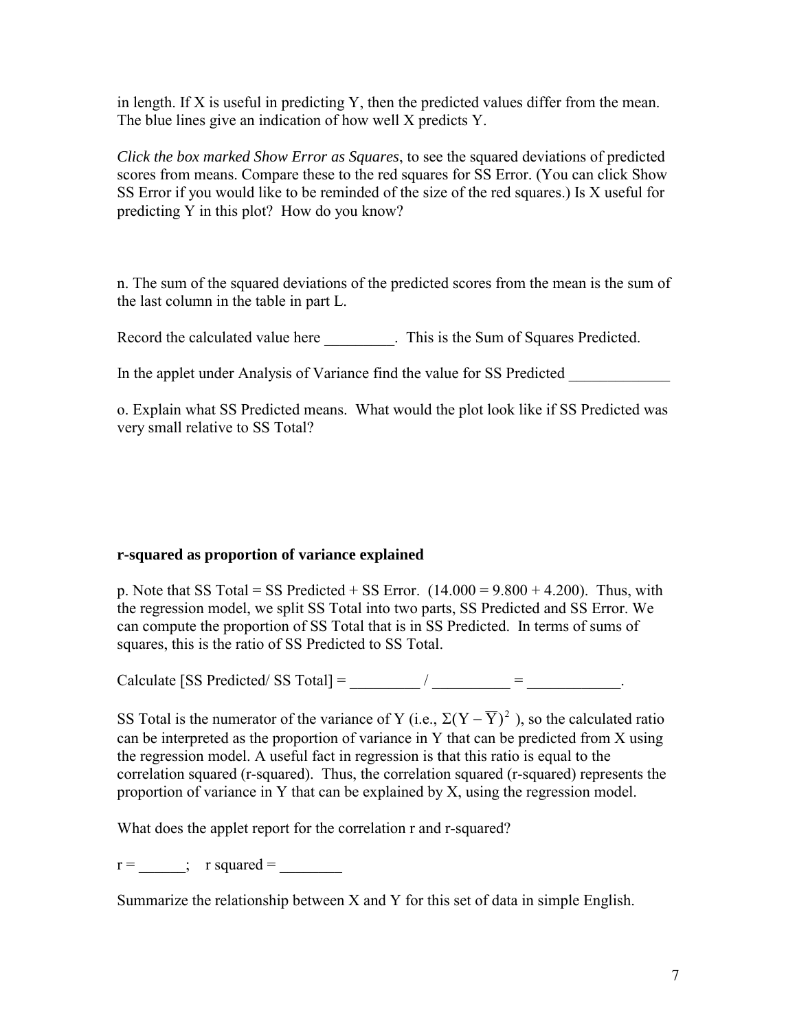in length. If X is useful in predicting Y, then the predicted values differ from the mean. The blue lines give an indication of how well X predicts Y.

*Click the box marked Show Error as Squares*, to see the squared deviations of predicted scores from means. Compare these to the red squares for SS Error. (You can click Show SS Error if you would like to be reminded of the size of the red squares.) Is X useful for predicting Y in this plot? How do you know?

n. The sum of the squared deviations of the predicted scores from the mean is the sum of the last column in the table in part L.

Record the calculated value here This is the Sum of Squares Predicted.

In the applet under Analysis of Variance find the value for SS Predicted

o. Explain what SS Predicted means. What would the plot look like if SS Predicted was very small relative to SS Total?

# **r-squared as proportion of variance explained**

p. Note that SS Total = SS Predicted + SS Error.  $(14.000 = 9.800 + 4.200)$ . Thus, with the regression model, we split SS Total into two parts, SS Predicted and SS Error. We can compute the proportion of SS Total that is in SS Predicted. In terms of sums of squares, this is the ratio of SS Predicted to SS Total.

Calculate [SS Predicted/ SS Total] =  $\qquad$  /  $\qquad$  =  $\qquad$  .

SS Total is the numerator of the variance of Y (i.e.,  $\Sigma (Y - \overline{Y})^2$ ), so the calculated ratio can be interpreted as the proportion of variance in Y that can be predicted from X using the regression model. A useful fact in regression is that this ratio is equal to the correlation squared (r-squared). Thus, the correlation squared (r-squared) represents the proportion of variance in Y that can be explained by X, using the regression model.

What does the applet report for the correlation r and r-squared?

 $r =$  ; r squared =

Summarize the relationship between X and Y for this set of data in simple English.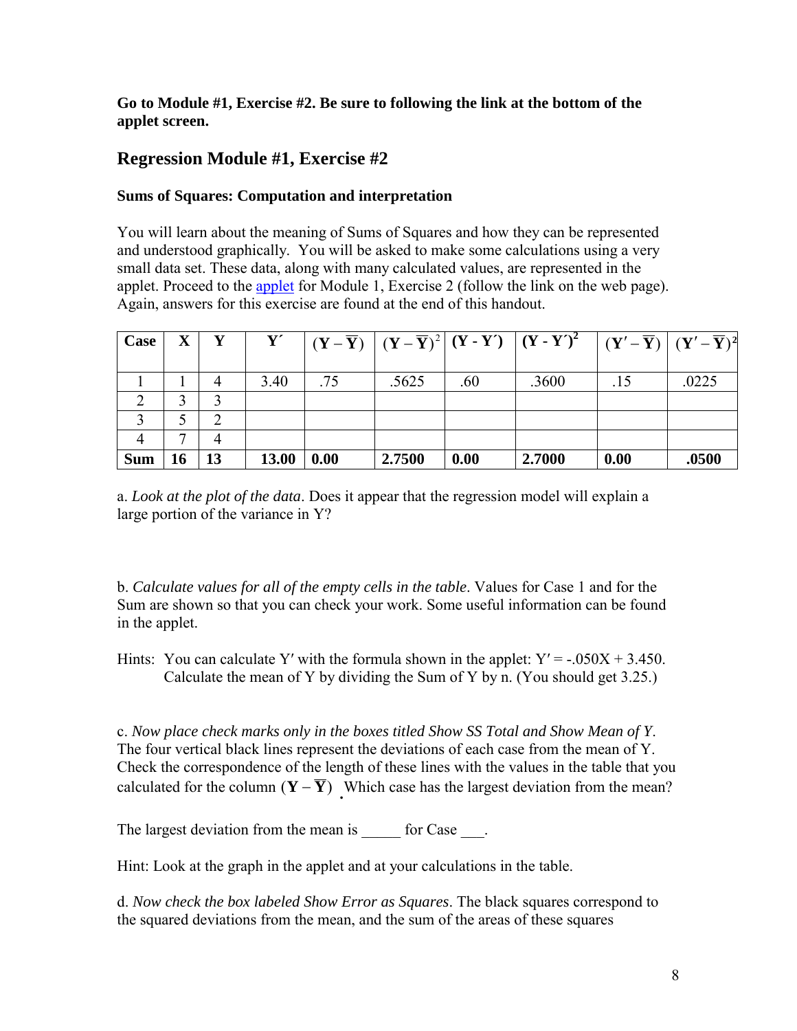# **Go to Module #1, Exercise #2. Be sure to following the link at the bottom of the applet screen.**

# **Regression Module #1, Exercise #2**

# **Sums of Squares: Computation and interpretation**

You will learn about the meaning of Sums of Squares and how they can be represented and understood graphically. You will be asked to make some calculations using a very small data set. These data, along with many calculated values, are represented in the [applet](http://humboldt.edu/%7Ecla18/regtutor/regappletfix2.html). Proceed to the applet for Module 1, Exercise 2 (follow the link on the web page). Again, answers for this exercise are found at the end of this handout.

| Case       | $\mathbf X$ |    | Y'    |      |        |      | $\left  \left( \left( Y - \overline{Y} \right) \right  \left( Y - \overline{Y} \right)^2 \right  (Y - Y') \left  \left( Y - Y' \right)^2 \right  \left  \left( Y' - \overline{Y} \right) \right  (Y' - \overline{Y})^2$ |      |       |
|------------|-------------|----|-------|------|--------|------|-------------------------------------------------------------------------------------------------------------------------------------------------------------------------------------------------------------------------|------|-------|
|            |             |    | 3.40  | .75  | .5625  | .60  | .3600                                                                                                                                                                                                                   | .15  | .0225 |
|            |             |    |       |      |        |      |                                                                                                                                                                                                                         |      |       |
|            |             | ∍  |       |      |        |      |                                                                                                                                                                                                                         |      |       |
|            |             |    |       |      |        |      |                                                                                                                                                                                                                         |      |       |
| <b>Sum</b> |             | 13 | 13.00 | 0.00 | 2.7500 | 0.00 | 2.7000                                                                                                                                                                                                                  | 0.00 | .0500 |

a. *Look at the plot of the data*. Does it appear that the regression model will explain a large portion of the variance in Y?

b. *Calculate values for all of the empty cells in the table*. Values for Case 1 and for the Sum are shown so that you can check your work. Some useful information can be found in the applet.

Hints: You can calculate Y' with the formula shown in the applet:  $Y' = -.050X + 3.450$ . Calculate the mean of Y by dividing the Sum of Y by n. (You should get 3.25.)

c. *Now place check marks only in the boxes titled Show SS Total and Show Mean of Y*. The four vertical black lines represent the deviations of each case from the mean of Y. Check the correspondence of the length of these lines with the values in the table that you calculated for the column  $(Y - \overline{Y})$ . Which case has the largest deviation from the mean?

The largest deviation from the mean is for Case  $\qquad$ .

Hint: Look at the graph in the applet and at your calculations in the table.

d. *Now check the box labeled Show Error as Squares*. The black squares correspond to the squared deviations from the mean, and the sum of the areas of these squares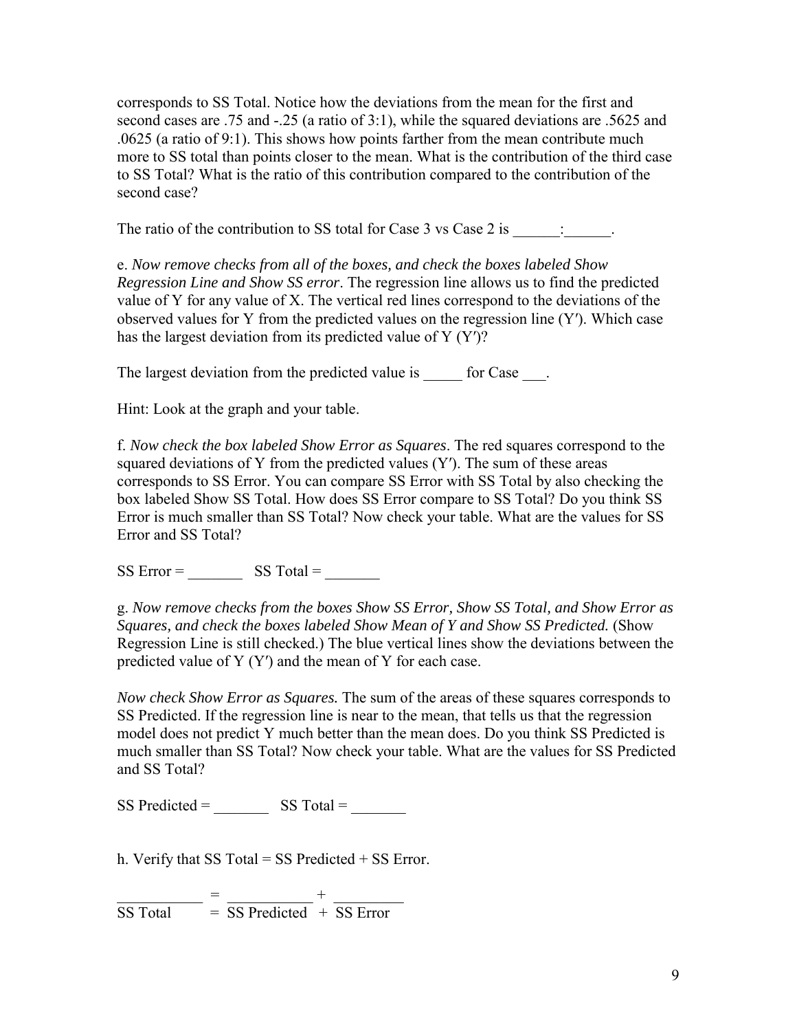corresponds to SS Total. Notice how the deviations from the mean for the first and second cases are .75 and -.25 (a ratio of 3:1), while the squared deviations are .5625 and .0625 (a ratio of 9:1). This shows how points farther from the mean contribute much more to SS total than points closer to the mean. What is the contribution of the third case to SS Total? What is the ratio of this contribution compared to the contribution of the second case?

The ratio of the contribution to SS total for Case  $3 \text{ vs } \text{Case } 2 \text{ is }$ 

e. *Now remove checks from all of the boxes, and check the boxes labeled Show Regression Line and Show SS error*. The regression line allows us to find the predicted value of Y for any value of X. The vertical red lines correspond to the deviations of the observed values for Y from the predicted values on the regression line (Y′). Which case has the largest deviation from its predicted value of Y (Y′)?

The largest deviation from the predicted value is for Case  $\qquad$ .

Hint: Look at the graph and your table.

f. *Now check the box labeled Show Error as Squares*. The red squares correspond to the squared deviations of Y from the predicted values  $(Y')$ . The sum of these areas corresponds to SS Error. You can compare SS Error with SS Total by also checking the box labeled Show SS Total. How does SS Error compare to SS Total? Do you think SS Error is much smaller than SS Total? Now check your table. What are the values for SS Error and SS Total?

 $SS Error =$   $SS Total =$ 

g. *Now remove checks from the boxes Show SS Error, Show SS Total, and Show Error as Squares, and check the boxes labeled Show Mean of Y and Show SS Predicted.* (Show Regression Line is still checked.) The blue vertical lines show the deviations between the predicted value of Y (Y′) and the mean of Y for each case.

*Now check Show Error as Squares.* The sum of the areas of these squares corresponds to SS Predicted. If the regression line is near to the mean, that tells us that the regression model does not predict Y much better than the mean does. Do you think SS Predicted is much smaller than SS Total? Now check your table. What are the values for SS Predicted and SS Total?

 $SS$  Predicted =  $SS$  Total =

h. Verify that SS Total = SS Predicted  $+$  SS Error.

\_\_\_\_\_\_\_\_\_\_\_ = \_\_\_\_\_\_\_\_\_\_\_ + \_\_\_\_\_\_\_\_\_  $SS Total = SS Predicted + SS Error$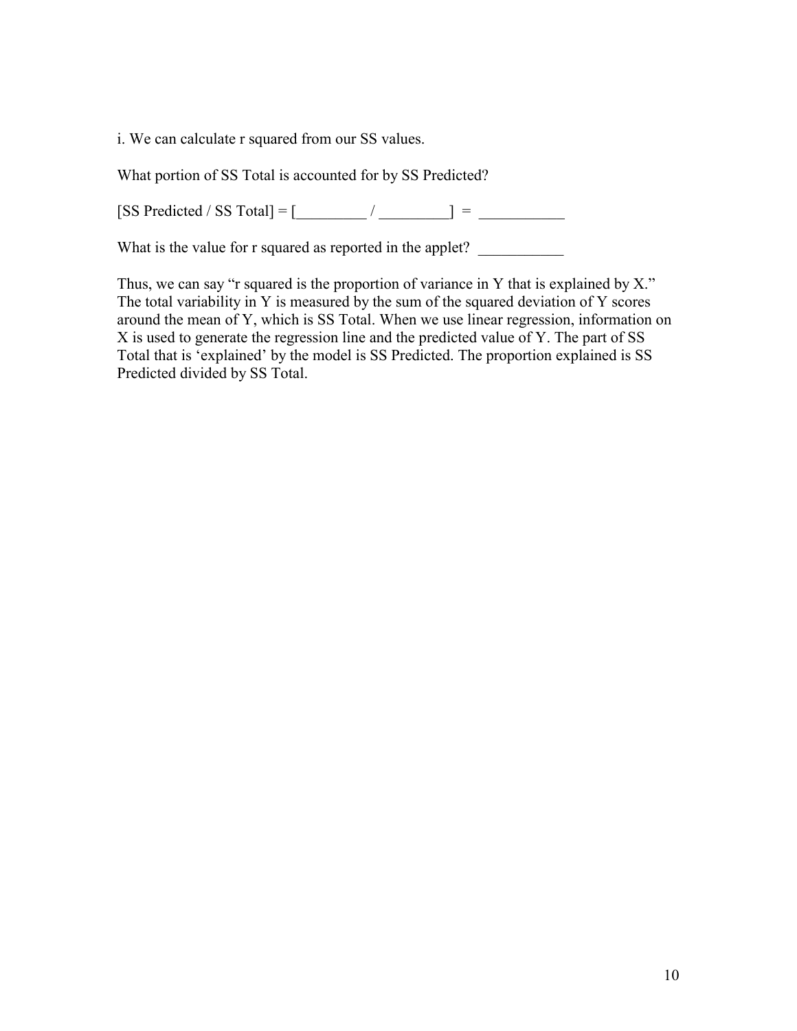i. We can calculate r squared from our SS values.

What portion of SS Total is accounted for by SS Predicted?

 $[SS \text{ Predicted } / \text{SS } \text{Total}] = [\underline{\hspace{1cm}} / \underline{\hspace{1cm}} ] = \underline{\hspace{1cm}}$ 

What is the value for r squared as reported in the applet? \_\_\_\_\_\_\_\_\_\_\_\_\_\_\_\_\_\_\_\_\_

Thus, we can say "r squared is the proportion of variance in Y that is explained by  $X$ ." The total variability in Y is measured by the sum of the squared deviation of Y scores around the mean of Y, which is SS Total. When we use linear regression, information on X is used to generate the regression line and the predicted value of Y. The part of SS Total that is 'explained' by the model is SS Predicted. The proportion explained is SS Predicted divided by SS Total.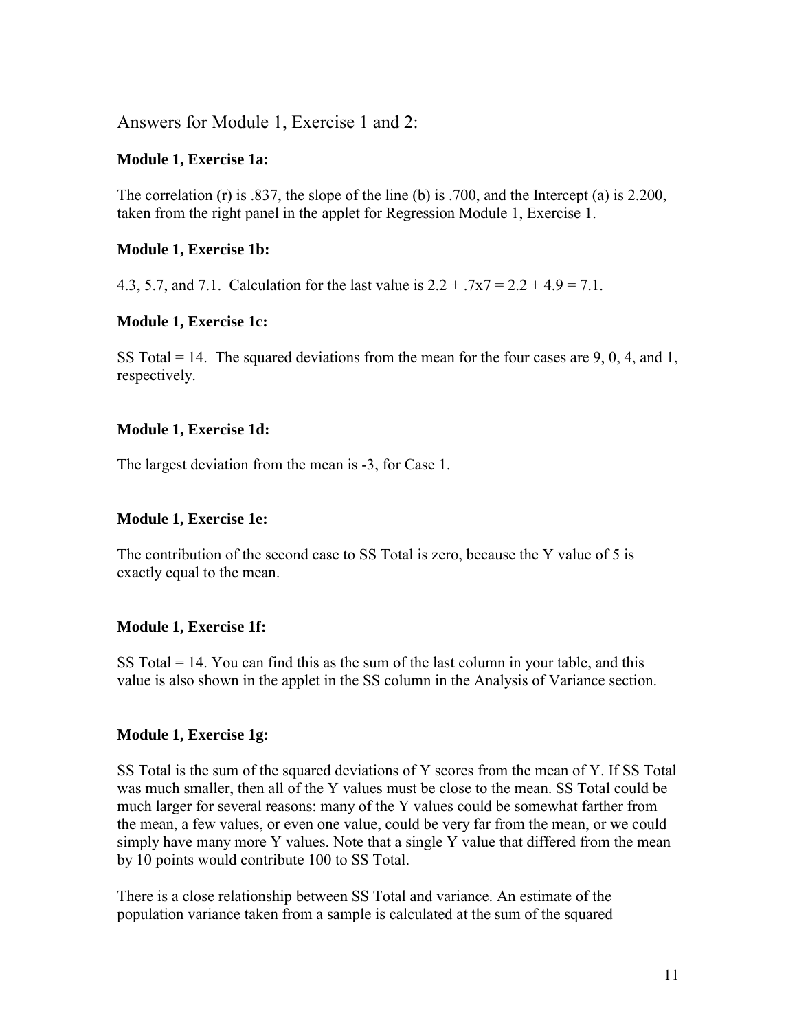Answers for Module 1, Exercise 1 and 2:

#### **Module 1, Exercise 1a:**

The correlation (r) is .837, the slope of the line (b) is .700, and the Intercept (a) is 2.200, taken from the right panel in the applet for Regression Module 1, Exercise 1.

#### **Module 1, Exercise 1b:**

4.3, 5.7, and 7.1. Calculation for the last value is  $2.2 + 0.7x7 = 2.2 + 4.9 = 7.1$ .

#### **Module 1, Exercise 1c:**

SS Total  $= 14$ . The squared deviations from the mean for the four cases are 9, 0, 4, and 1, respectively.

#### **Module 1, Exercise 1d:**

The largest deviation from the mean is -3, for Case 1.

#### **Module 1, Exercise 1e:**

The contribution of the second case to SS Total is zero, because the Y value of 5 is exactly equal to the mean.

#### **Module 1, Exercise 1f:**

SS Total  $= 14$ . You can find this as the sum of the last column in your table, and this value is also shown in the applet in the SS column in the Analysis of Variance section.

#### **Module 1, Exercise 1g:**

SS Total is the sum of the squared deviations of Y scores from the mean of Y. If SS Total was much smaller, then all of the Y values must be close to the mean. SS Total could be much larger for several reasons: many of the Y values could be somewhat farther from the mean, a few values, or even one value, could be very far from the mean, or we could simply have many more Y values. Note that a single Y value that differed from the mean by 10 points would contribute 100 to SS Total.

There is a close relationship between SS Total and variance. An estimate of the population variance taken from a sample is calculated at the sum of the squared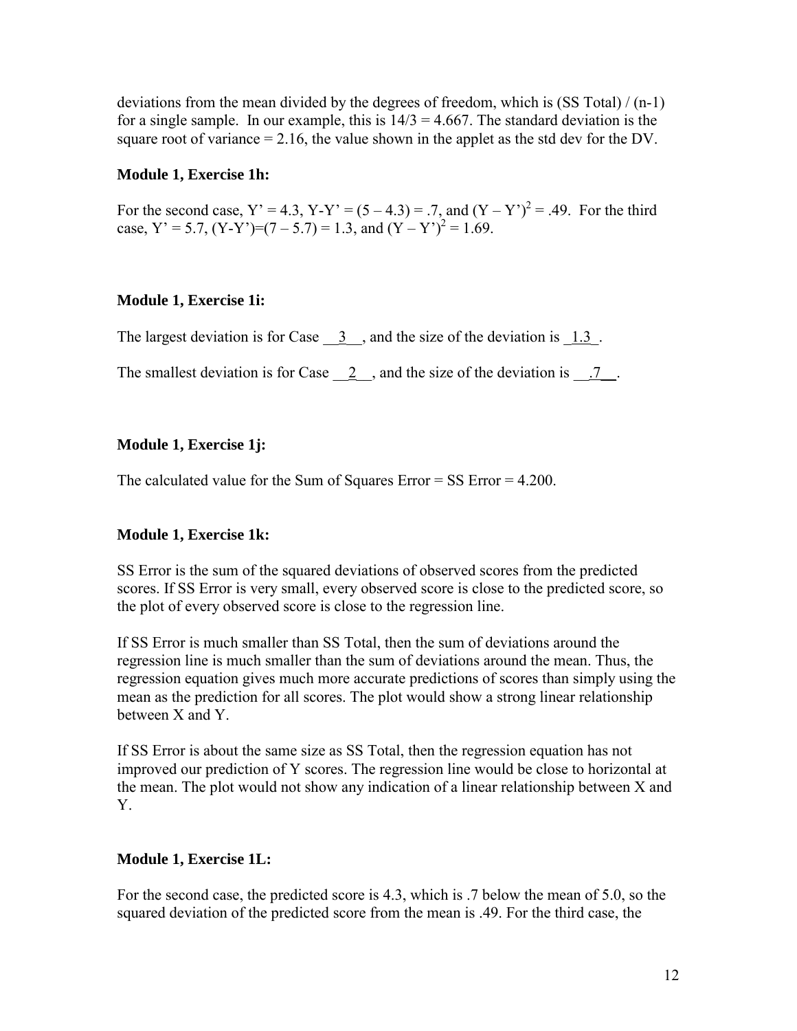deviations from the mean divided by the degrees of freedom, which is  $(SS Total) / (n-1)$ for a single sample. In our example, this is  $14/3 = 4.667$ . The standard deviation is the square root of variance  $= 2.16$ , the value shown in the applet as the std dev for the DV.

#### **Module 1, Exercise 1h:**

For the second case,  $Y' = 4.3$ ,  $Y-Y' = (5-4.3) = .7$ , and  $(Y - Y')^2 = .49$ . For the third case,  $Y' = 5.7$ ,  $(Y - Y') = (7 - 5.7) = 1.3$ , and  $(Y - Y')^2 = 1.69$ .

# **Module 1, Exercise 1i:**

The largest deviation is for Case  $\frac{3}{2}$ , and the size of the deviation is  $\frac{1.3}{2}$ .

The smallest deviation is for Case  $\quad 2 \quad$ , and the size of the deviation is  $\quad 7 \quad$ .

# **Module 1, Exercise 1j:**

The calculated value for the Sum of Squares Error = SS Error = 4.200.

# **Module 1, Exercise 1k:**

SS Error is the sum of the squared deviations of observed scores from the predicted scores. If SS Error is very small, every observed score is close to the predicted score, so the plot of every observed score is close to the regression line.

If SS Error is much smaller than SS Total, then the sum of deviations around the regression line is much smaller than the sum of deviations around the mean. Thus, the regression equation gives much more accurate predictions of scores than simply using the mean as the prediction for all scores. The plot would show a strong linear relationship between X and Y.

If SS Error is about the same size as SS Total, then the regression equation has not improved our prediction of Y scores. The regression line would be close to horizontal at the mean. The plot would not show any indication of a linear relationship between X and Y.

# **Module 1, Exercise 1L:**

For the second case, the predicted score is 4.3, which is .7 below the mean of 5.0, so the squared deviation of the predicted score from the mean is .49. For the third case, the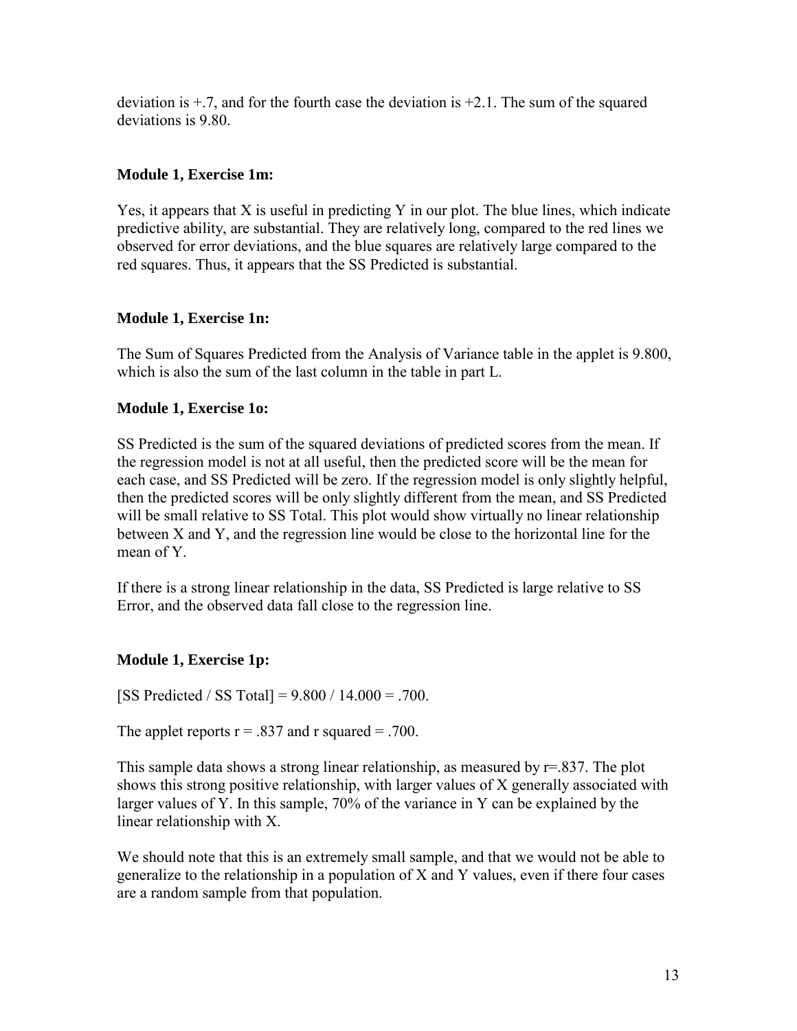deviation is  $\pm$ .7, and for the fourth case the deviation is  $\pm$ 2.1. The sum of the squared deviations is 9.80.

## **Module 1, Exercise 1m:**

Yes, it appears that X is useful in predicting Y in our plot. The blue lines, which indicate predictive ability, are substantial. They are relatively long, compared to the red lines we observed for error deviations, and the blue squares are relatively large compared to the red squares. Thus, it appears that the SS Predicted is substantial.

# **Module 1, Exercise 1n:**

The Sum of Squares Predicted from the Analysis of Variance table in the applet is 9.800, which is also the sum of the last column in the table in part L.

#### **Module 1, Exercise 1o:**

SS Predicted is the sum of the squared deviations of predicted scores from the mean. If the regression model is not at all useful, then the predicted score will be the mean for each case, and SS Predicted will be zero. If the regression model is only slightly helpful, then the predicted scores will be only slightly different from the mean, and SS Predicted will be small relative to SS Total. This plot would show virtually no linear relationship between X and Y, and the regression line would be close to the horizontal line for the mean of Y.

If there is a strong linear relationship in the data, SS Predicted is large relative to SS Error, and the observed data fall close to the regression line.

# **Module 1, Exercise 1p:**

[SS Predicted / SS Total] =  $9.800 / 14.000 = .700$ .

The applet reports  $r = .837$  and r squared = .700.

This sample data shows a strong linear relationship, as measured by  $r=837$ . The plot shows this strong positive relationship, with larger values of X generally associated with larger values of Y. In this sample, 70% of the variance in Y can be explained by the linear relationship with X.

We should note that this is an extremely small sample, and that we would not be able to generalize to the relationship in a population of X and Y values, even if there four cases are a random sample from that population.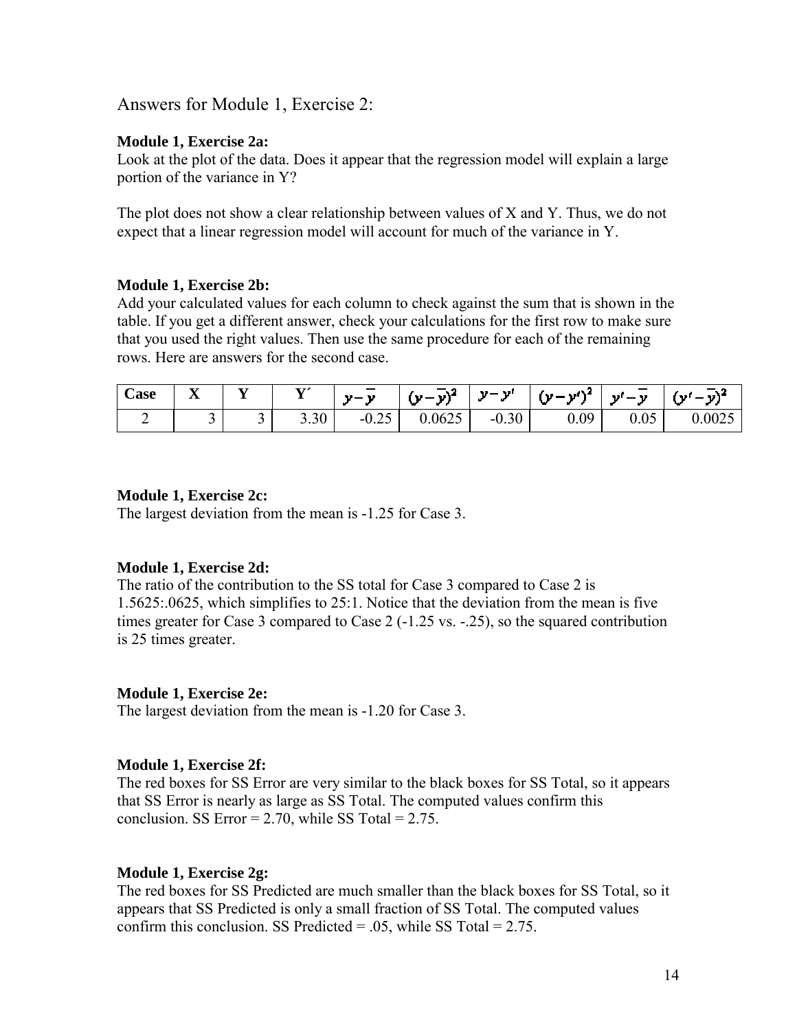Answers for Module 1, Exercise 2:

#### **Module 1, Exercise 2a:**

Look at the plot of the data. Does it appear that the regression model will explain a large portion of the variance in Y?

The plot does not show a clear relationship between values of X and Y. Thus, we do not expect that a linear regression model will account for much of the variance in Y.

#### **Module 1, Exercise 2b:**

Add your calculated values for each column to check against the sum that is shown in the table. If you get a different answer, check your calculations for the first row to make sure that you used the right values. Then use the same procedure for each of the remaining rows. Here are answers for the second case.

| $\sim$<br>$\cosh$ | $-$<br>ᆇ | - - | $\mathbf{v}$<br><b>.</b> | $\sim$<br>$\mathbf{v} = \mathbf{v}$ | $-1$<br>- v)*<br>' '' - | $\mathbf{v}$<br>- a st | $\mathbf{u} = \mathbf{v}^{N^2}$ | <b>The Contract of Street</b><br>- an I<br><b>1999</b><br>$\overline{\phantom{a}}$ | 's I   |
|-------------------|----------|-----|--------------------------|-------------------------------------|-------------------------|------------------------|---------------------------------|------------------------------------------------------------------------------------|--------|
|                   | ້        | ້   | 3.30                     | $\sim$ $\sim$<br>$-0.25$            | 0.0625                  | $-0.30$                | 0.09                            | 0.05                                                                               | 0.0025 |

#### **Module 1, Exercise 2c:**

The largest deviation from the mean is -1.25 for Case 3.

#### **Module 1, Exercise 2d:**

The ratio of the contribution to the SS total for Case 3 compared to Case 2 is 1.5625:.0625, which simplifies to 25:1. Notice that the deviation from the mean is five times greater for Case 3 compared to Case 2 (-1.25 vs. -.25), so the squared contribution is 25 times greater.

#### **Module 1, Exercise 2e:**

The largest deviation from the mean is -1.20 for Case 3.

#### **Module 1, Exercise 2f:**

The red boxes for SS Error are very similar to the black boxes for SS Total, so it appears that SS Error is nearly as large as SS Total. The computed values confirm this conclusion. SS Error =  $2.70$ , while SS Total =  $2.75$ .

#### **Module 1, Exercise 2g:**

The red boxes for SS Predicted are much smaller than the black boxes for SS Total, so it appears that SS Predicted is only a small fraction of SS Total. The computed values confirm this conclusion. SS Predicted  $= .05$ , while SS Total  $= 2.75$ .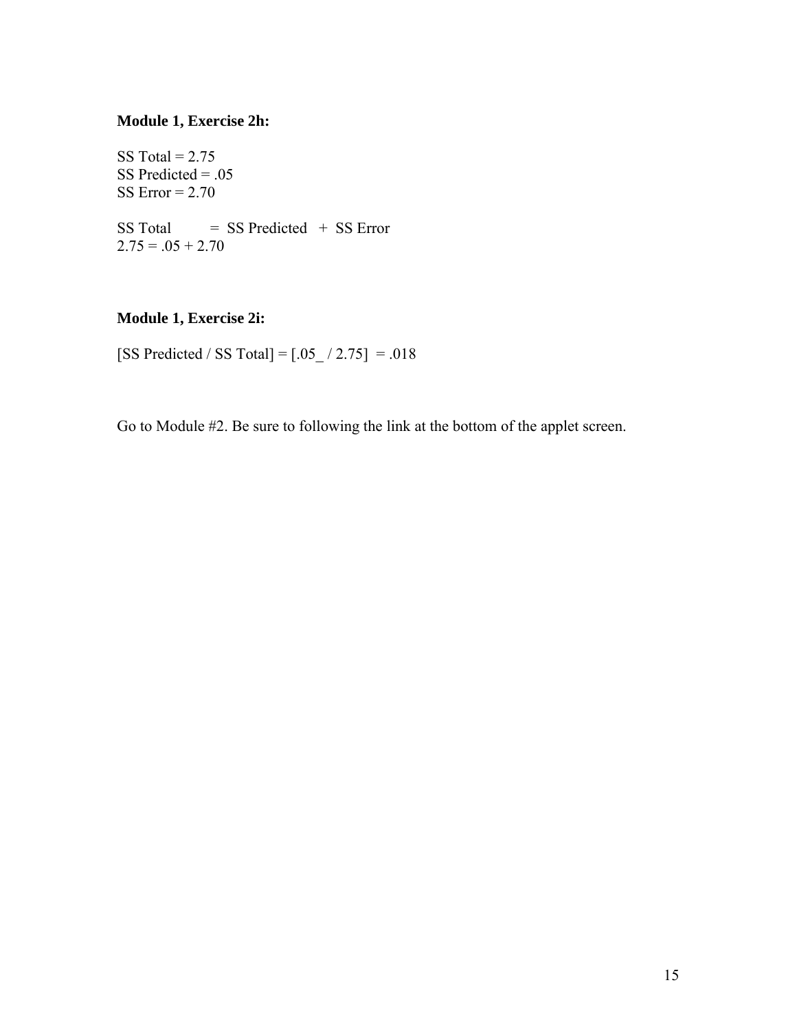#### **Module 1, Exercise 2h:**

SS Total =  $2.75$ SS Predicted  $= .05$ SS Error  $= 2.70$  $SS Total = SS Predicted + SS Error$  $2.75 = 0.05 + 2.70$ 

# **Module 1, Exercise 2i:**

[SS Predicted / SS Total] =  $[.05]/2.75$ ] = .018

Go to Module #2. Be sure to following the link at the bottom of the applet screen.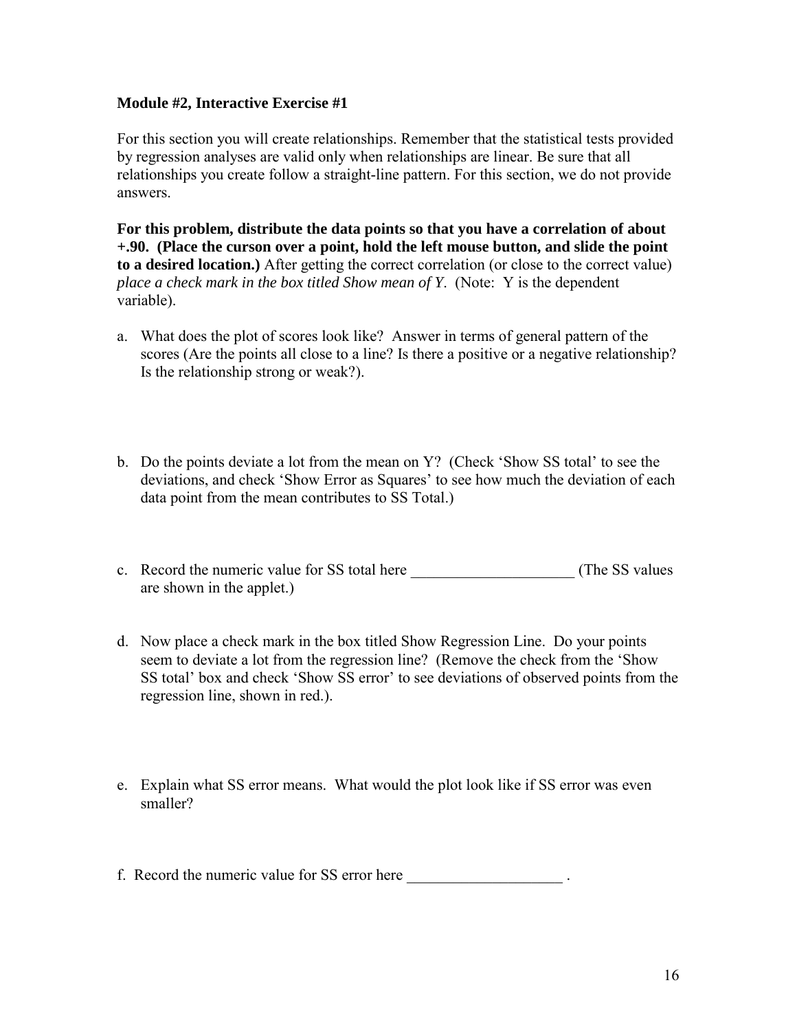#### **Module #2, Interactive Exercise #1**

For this section you will create relationships. Remember that the statistical tests provided by regression analyses are valid only when relationships are linear. Be sure that all relationships you create follow a straight-line pattern. For this section, we do not provide answers.

**For this problem, distribute the data points so that you have a correlation of about +.90. (Place the curson over a point, hold the left mouse button, and slide the point to a desired location.)** After getting the correct correlation (or close to the correct value) *place a check mark in the box titled Show mean of Y*. (Note: Y is the dependent variable).

- a. What does the plot of scores look like? Answer in terms of general pattern of the scores (Are the points all close to a line? Is there a positive or a negative relationship? Is the relationship strong or weak?).
- b. Do the points deviate a lot from the mean on Y? (Check 'Show SS total' to see the deviations, and check 'Show Error as Squares' to see how much the deviation of each data point from the mean contributes to SS Total.)
- c. Record the numeric value for SS total here  $($ The SS values are shown in the applet.)
- d. Now place a check mark in the box titled Show Regression Line. Do your points seem to deviate a lot from the regression line? (Remove the check from the 'Show SS total' box and check 'Show SS error' to see deviations of observed points from the regression line, shown in red.).
- e. Explain what SS error means. What would the plot look like if SS error was even smaller?

f. Record the numeric value for SS error here \_\_\_\_\_\_\_\_\_\_\_\_\_\_\_\_\_\_\_\_\_\_\_\_.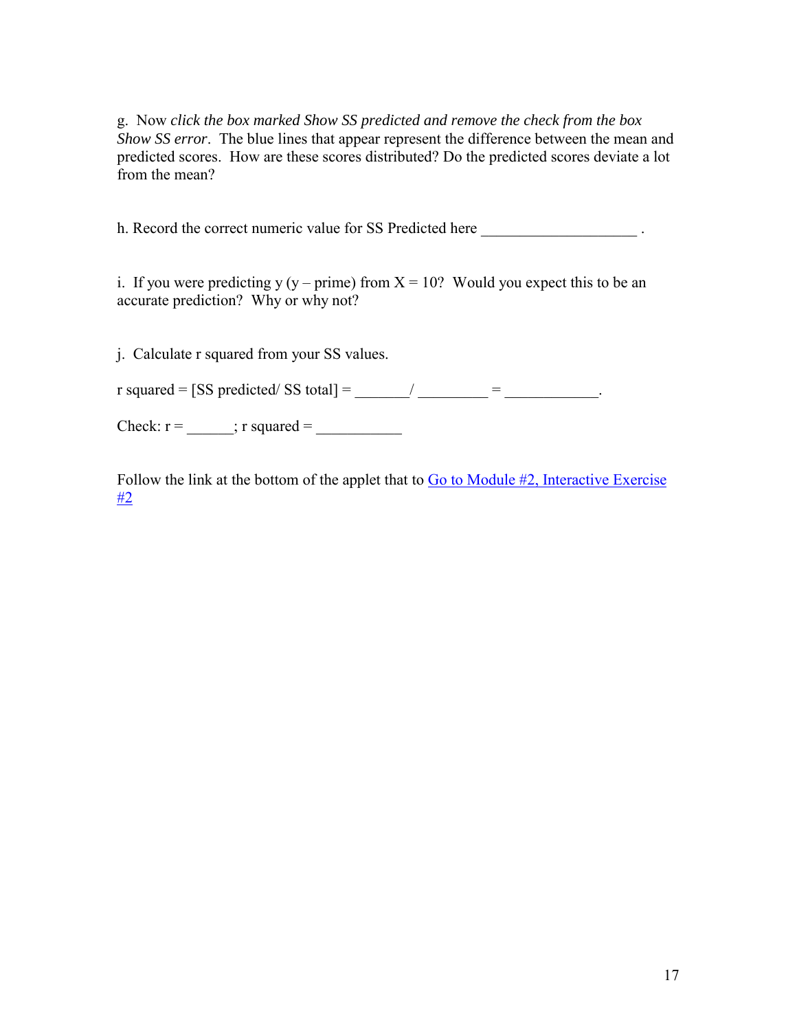g. Now *click the box marked Show SS predicted and remove the check from the box Show SS error*. The blue lines that appear represent the difference between the mean and predicted scores. How are these scores distributed? Do the predicted scores deviate a lot from the mean?

h. Record the correct numeric value for SS Predicted here \_\_\_\_\_\_\_\_\_\_\_\_\_\_\_\_\_\_\_\_\_\_.

i. If you were predicting y (y – prime) from  $X = 10$ ? Would you expect this to be an accurate prediction? Why or why not?

j. Calculate r squared from your SS values. r squared = [SS predicted/ SS total] = \_\_\_\_\_/ \_\_\_\_\_\_\_\_ = \_\_\_\_\_\_\_\_\_\_. Check:  $r = \underline{\qquad}$ ; r squared =

Follow the link at the bottom of the applet that to Go to Module #2, Interactive Exercise [#2](http://humboldt.edu/~cla18/regtutor/reg interactive2.htm)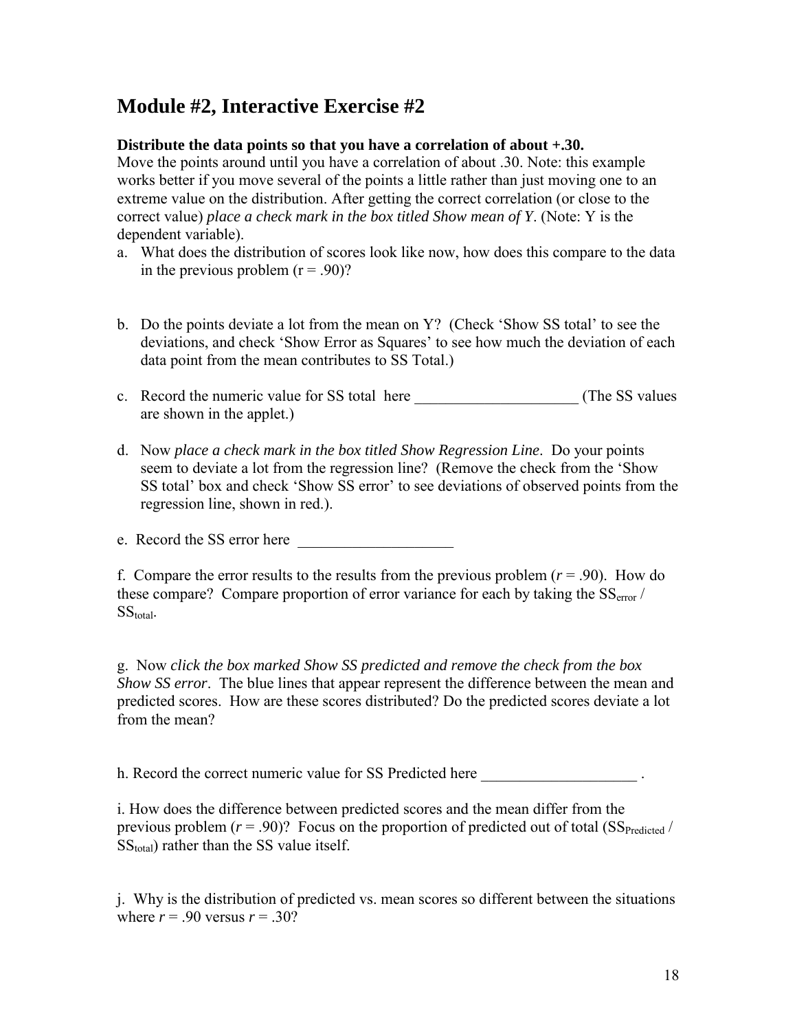# **Module #2, Interactive Exercise #2**

# **Distribute the data points so that you have a correlation of about +.30.**

Move the points around until you have a correlation of about .30. Note: this example works better if you move several of the points a little rather than just moving one to an extreme value on the distribution. After getting the correct correlation (or close to the correct value) *place a check mark in the box titled Show mean of Y*. (Note: Y is the dependent variable).

- a. What does the distribution of scores look like now, how does this compare to the data in the previous problem  $(r = .90)$ ?
- b. Do the points deviate a lot from the mean on Y? (Check 'Show SS total' to see the deviations, and check 'Show Error as Squares' to see how much the deviation of each data point from the mean contributes to SS Total.)
- c. Record the numeric value for SS total here \_\_\_\_\_\_\_\_\_\_\_\_\_\_\_\_\_\_\_\_\_ (The SS values are shown in the applet.)
- d. Now *place a check mark in the box titled Show Regression Line*. Do your points seem to deviate a lot from the regression line? (Remove the check from the 'Show SS total' box and check 'Show SS error' to see deviations of observed points from the regression line, shown in red.).

e. Record the SS error here

f. Compare the error results to the results from the previous problem  $(r = .90)$ . How do these compare? Compare proportion of error variance for each by taking the  $SS<sub>error</sub>$  $SS_{\text{total}}$ .

g. Now *click the box marked Show SS predicted and remove the check from the box Show SS error*. The blue lines that appear represent the difference between the mean and predicted scores. How are these scores distributed? Do the predicted scores deviate a lot from the mean?

h. Record the correct numeric value for SS Predicted here  $\blacksquare$ 

i. How does the difference between predicted scores and the mean differ from the previous problem  $(r = .90)$ ? Focus on the proportion of predicted out of total (SS<sub>Predicted</sub> /  $SS<sub>total</sub>$ ) rather than the SS value itself.

j. Why is the distribution of predicted vs. mean scores so different between the situations where  $r = .90$  versus  $r = .30$ ?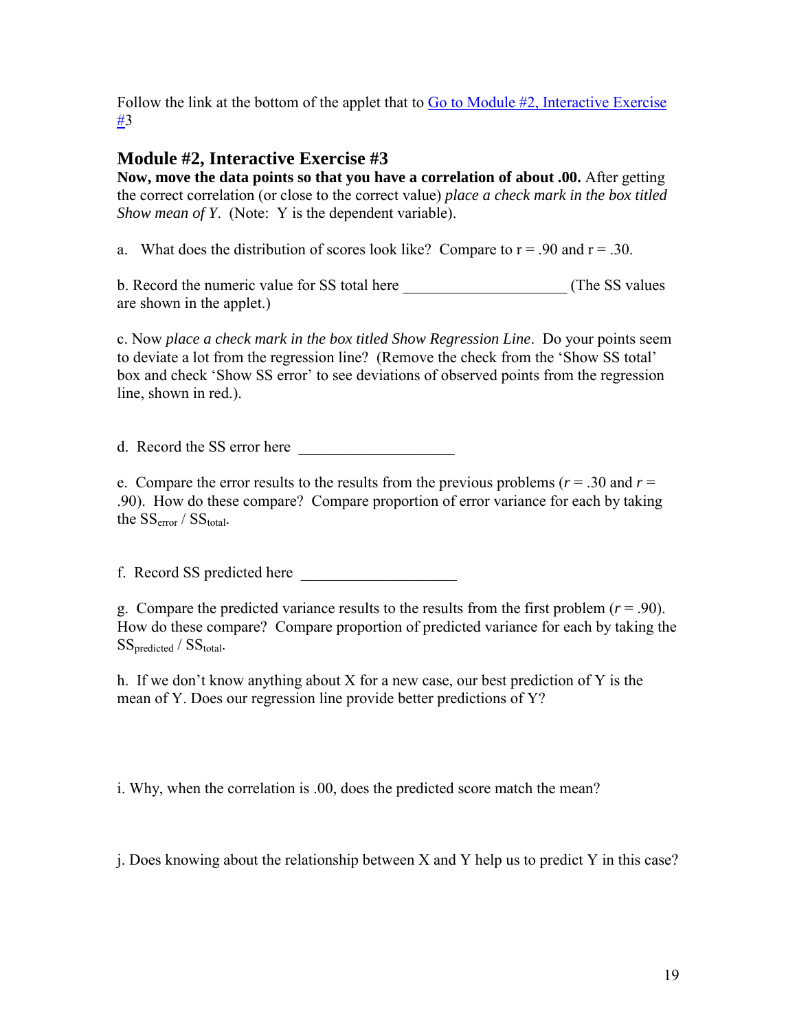Follow the link at the bottom of the applet that to [Go to Module #2, Interactive Exercise](http://humboldt.edu/~cla18/regtutor/reg interactive2.htm)  [#](http://humboldt.edu/~cla18/regtutor/reg interactive2.htm)3

# **Module #2, Interactive Exercise #3**

**Now, move the data points so that you have a correlation of about .00.** After getting the correct correlation (or close to the correct value) *place a check mark in the box titled Show mean of Y*. (Note: Y is the dependent variable).

a. What does the distribution of scores look like? Compare to  $r = .90$  and  $r = .30$ .

b. Record the numeric value for SS total here \_\_\_\_\_\_\_\_\_\_\_\_\_\_\_\_\_\_\_\_\_ (The SS values are shown in the applet.)

c. Now *place a check mark in the box titled Show Regression Line*. Do your points seem to deviate a lot from the regression line? (Remove the check from the 'Show SS total' box and check 'Show SS error' to see deviations of observed points from the regression line, shown in red.).

d. Record the SS error here

e. Compare the error results to the results from the previous problems  $(r = .30$  and  $r = .10$ .90). How do these compare? Compare proportion of error variance for each by taking the  $SS_{error} / SS_{total}$ .

f. Record SS predicted here

g. Compare the predicted variance results to the results from the first problem  $(r = .90)$ . How do these compare? Compare proportion of predicted variance for each by taking the SS<sub>predicted</sub> / SS<sub>total</sub>.

h. If we don't know anything about X for a new case, our best prediction of Y is the mean of Y. Does our regression line provide better predictions of Y?

i. Why, when the correlation is .00, does the predicted score match the mean?

j. Does knowing about the relationship between X and Y help us to predict Y in this case?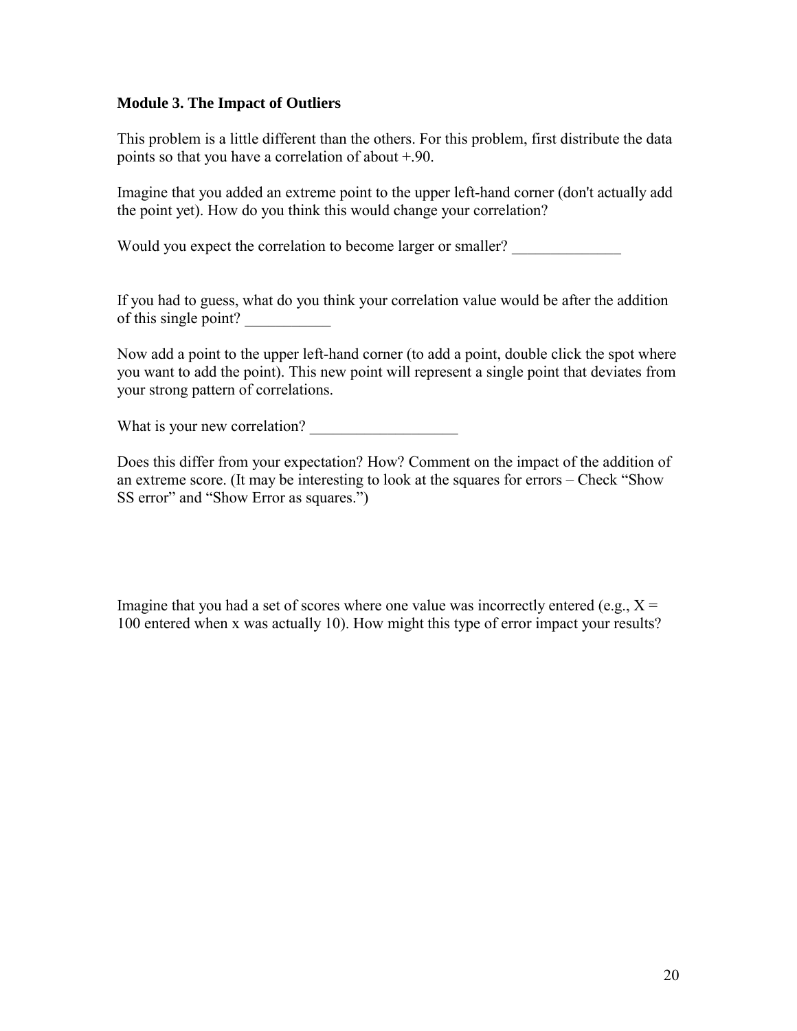## **Module 3. The Impact of Outliers**

This problem is a little different than the others. For this problem, first distribute the data points so that you have a correlation of about +.90.

Imagine that you added an extreme point to the upper left-hand corner (don't actually add the point yet). How do you think this would change your correlation?

Would you expect the correlation to become larger or smaller?

If you had to guess, what do you think your correlation value would be after the addition of this single point?

Now add a point to the upper left-hand corner (to add a point, double click the spot where you want to add the point). This new point will represent a single point that deviates from your strong pattern of correlations.

What is your new correlation?

Does this differ from your expectation? How? Comment on the impact of the addition of an extreme score. (It may be interesting to look at the squares for errors – Check "Show SS error" and "Show Error as squares.")

Imagine that you had a set of scores where one value was incorrectly entered (e.g.,  $X =$ 100 entered when x was actually 10). How might this type of error impact your results?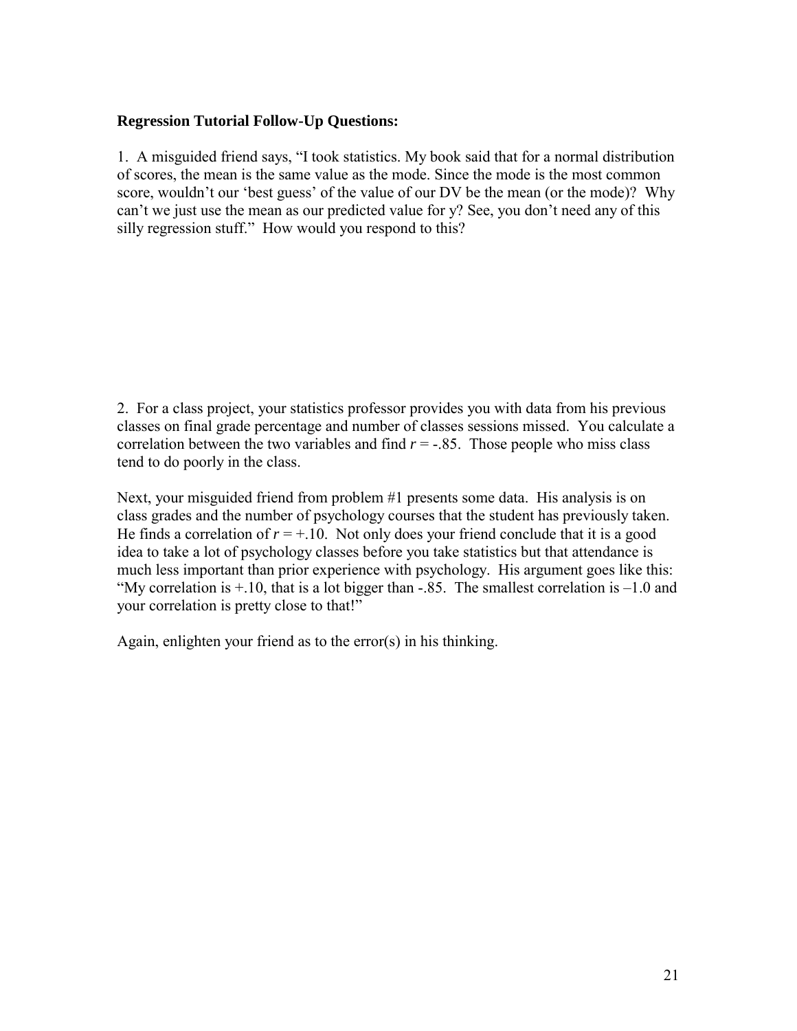#### **Regression Tutorial Follow-Up Questions:**

1. A misguided friend says, "I took statistics. My book said that for a normal distribution of scores, the mean is the same value as the mode. Since the mode is the most common score, wouldn't our 'best guess' of the value of our DV be the mean (or the mode)? Why can't we just use the mean as our predicted value for y? See, you don't need any of this silly regression stuff." How would you respond to this?

2. For a class project, your statistics professor provides you with data from his previous classes on final grade percentage and number of classes sessions missed. You calculate a correlation between the two variables and find  $r = -.85$ . Those people who miss class tend to do poorly in the class.

Next, your misguided friend from problem #1 presents some data. His analysis is on class grades and the number of psychology courses that the student has previously taken. He finds a correlation of  $r = +.10$ . Not only does your friend conclude that it is a good idea to take a lot of psychology classes before you take statistics but that attendance is much less important than prior experience with psychology. His argument goes like this: "My correlation is  $+10$ , that is a lot bigger than -.85. The smallest correlation is  $-1.0$  and your correlation is pretty close to that!"

Again, enlighten your friend as to the error(s) in his thinking.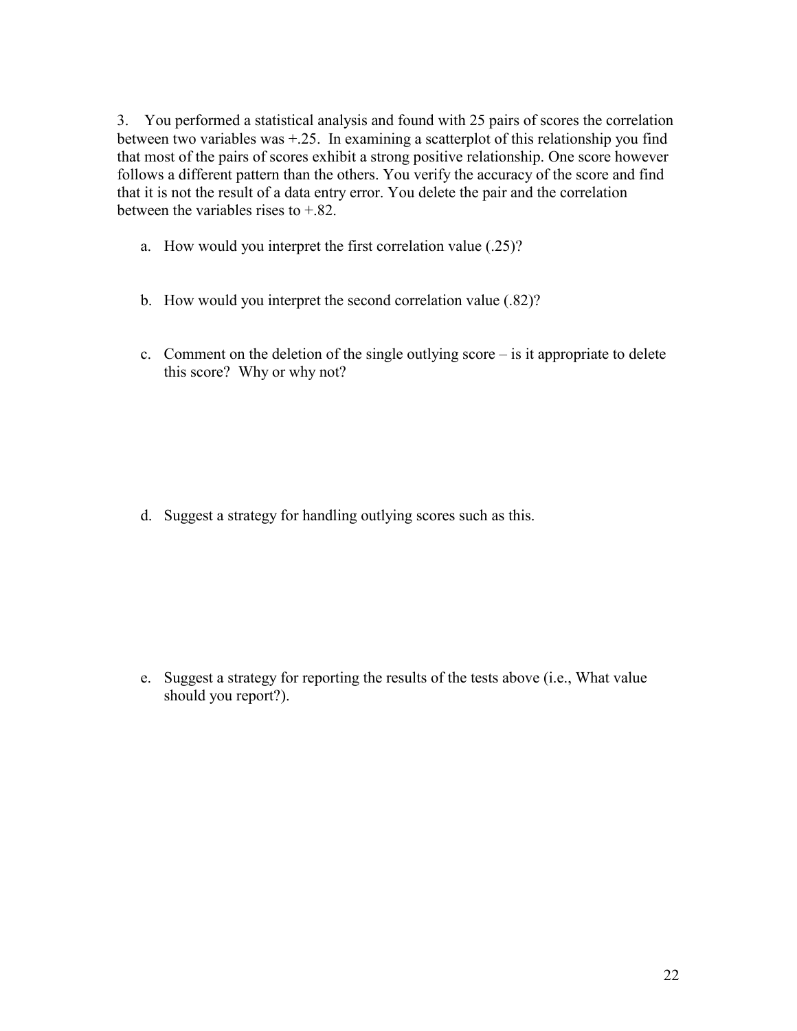3. You performed a statistical analysis and found with 25 pairs of scores the correlation between two variables was +.25. In examining a scatterplot of this relationship you find that most of the pairs of scores exhibit a strong positive relationship. One score however follows a different pattern than the others. You verify the accuracy of the score and find that it is not the result of a data entry error. You delete the pair and the correlation between the variables rises to +.82.

- a. How would you interpret the first correlation value (.25)?
- b. How would you interpret the second correlation value (.82)?
- c. Comment on the deletion of the single outlying score is it appropriate to delete this score? Why or why not?

d. Suggest a strategy for handling outlying scores such as this.

e. Suggest a strategy for reporting the results of the tests above (i.e., What value should you report?).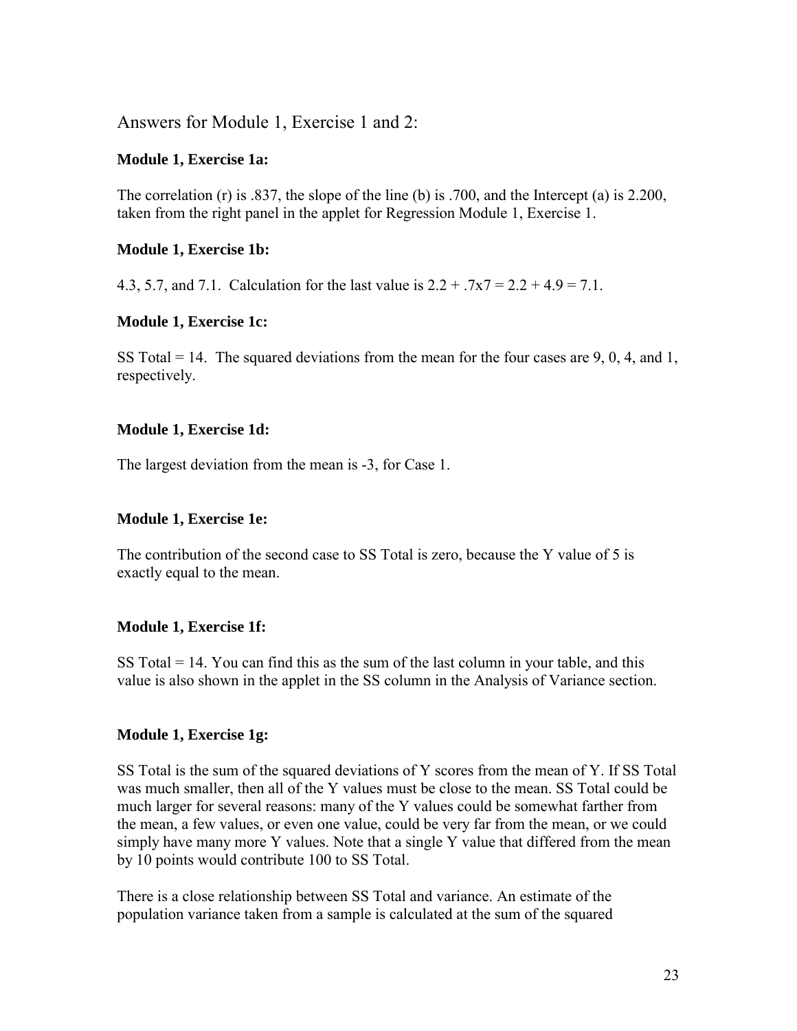Answers for Module 1, Exercise 1 and 2:

#### **Module 1, Exercise 1a:**

The correlation (r) is .837, the slope of the line (b) is .700, and the Intercept (a) is 2.200, taken from the right panel in the applet for Regression Module 1, Exercise 1.

## **Module 1, Exercise 1b:**

4.3, 5.7, and 7.1. Calculation for the last value is  $2.2 + 0.7x7 = 2.2 + 4.9 = 7.1$ .

#### **Module 1, Exercise 1c:**

SS Total  $= 14$ . The squared deviations from the mean for the four cases are 9, 0, 4, and 1, respectively.

#### **Module 1, Exercise 1d:**

The largest deviation from the mean is -3, for Case 1.

#### **Module 1, Exercise 1e:**

The contribution of the second case to SS Total is zero, because the Y value of 5 is exactly equal to the mean.

#### **Module 1, Exercise 1f:**

SS Total  $= 14$ . You can find this as the sum of the last column in your table, and this value is also shown in the applet in the SS column in the Analysis of Variance section.

#### **Module 1, Exercise 1g:**

SS Total is the sum of the squared deviations of Y scores from the mean of Y. If SS Total was much smaller, then all of the Y values must be close to the mean. SS Total could be much larger for several reasons: many of the Y values could be somewhat farther from the mean, a few values, or even one value, could be very far from the mean, or we could simply have many more Y values. Note that a single Y value that differed from the mean by 10 points would contribute 100 to SS Total.

There is a close relationship between SS Total and variance. An estimate of the population variance taken from a sample is calculated at the sum of the squared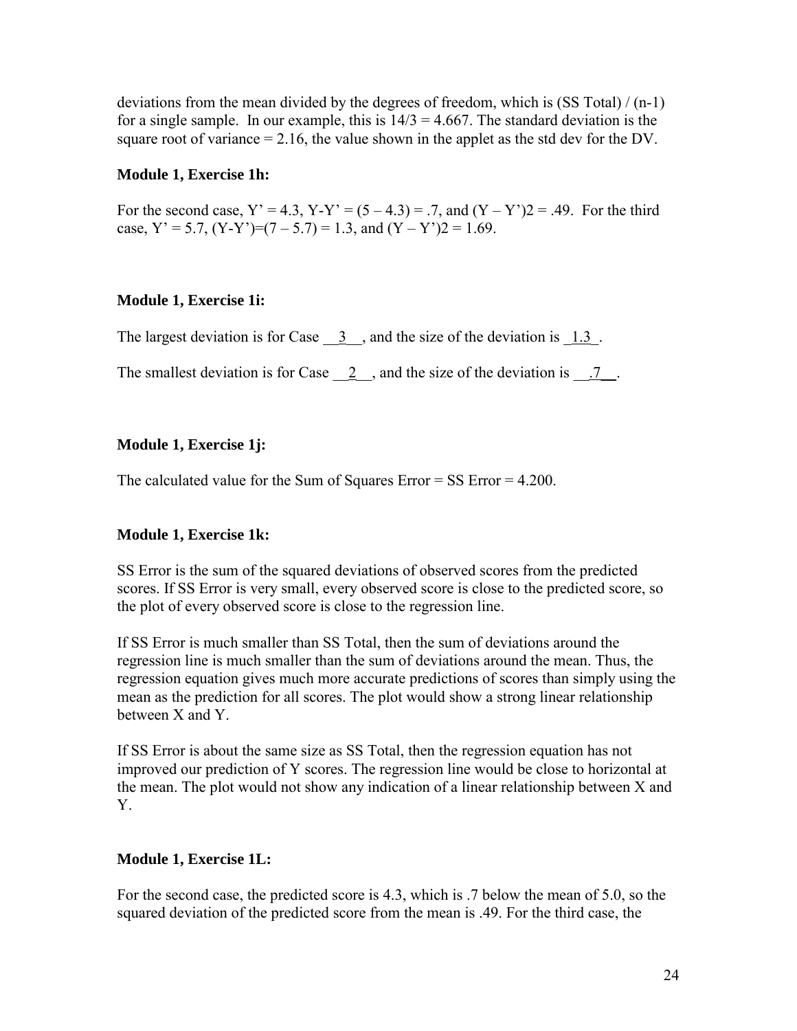deviations from the mean divided by the degrees of freedom, which is  $(SS Total) / (n-1)$ for a single sample. In our example, this is  $14/3 = 4.667$ . The standard deviation is the square root of variance  $= 2.16$ , the value shown in the applet as the std dev for the DV.

#### **Module 1, Exercise 1h:**

For the second case,  $Y' = 4.3$ ,  $Y-Y' = (5-4.3) = .7$ , and  $(Y - Y')2 = .49$ . For the third case,  $Y' = 5.7$ ,  $(Y-Y')=(7-5.7) = 1.3$ , and  $(Y-Y')=1.69$ .

# **Module 1, Exercise 1i:**

The largest deviation is for Case  $\frac{3}{2}$ , and the size of the deviation is  $\frac{1.3}{2}$ .

The smallest deviation is for Case  $\quad 2 \quad$ , and the size of the deviation is  $\quad 7 \quad$ .

#### **Module 1, Exercise 1j:**

The calculated value for the Sum of Squares Error = SS Error = 4.200.

#### **Module 1, Exercise 1k:**

SS Error is the sum of the squared deviations of observed scores from the predicted scores. If SS Error is very small, every observed score is close to the predicted score, so the plot of every observed score is close to the regression line.

If SS Error is much smaller than SS Total, then the sum of deviations around the regression line is much smaller than the sum of deviations around the mean. Thus, the regression equation gives much more accurate predictions of scores than simply using the mean as the prediction for all scores. The plot would show a strong linear relationship between X and Y.

If SS Error is about the same size as SS Total, then the regression equation has not improved our prediction of Y scores. The regression line would be close to horizontal at the mean. The plot would not show any indication of a linear relationship between X and Y.

# **Module 1, Exercise 1L:**

For the second case, the predicted score is 4.3, which is .7 below the mean of 5.0, so the squared deviation of the predicted score from the mean is .49. For the third case, the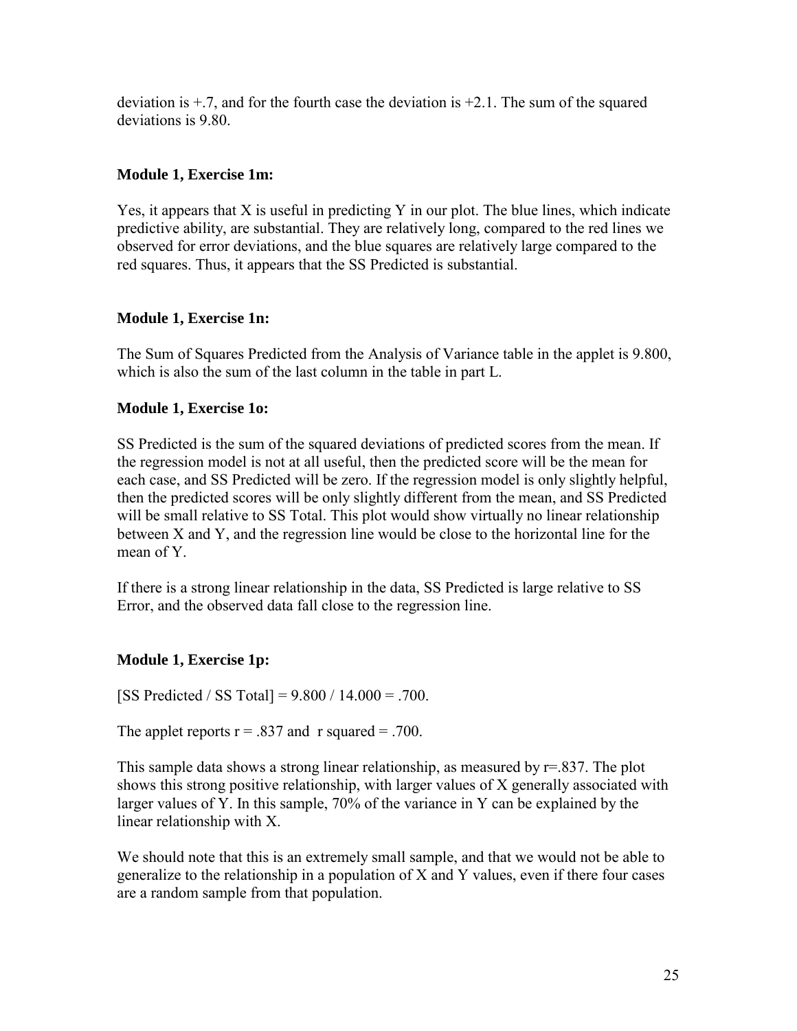deviation is  $\pm$ .7, and for the fourth case the deviation is  $\pm$ 2.1. The sum of the squared deviations is 9.80.

## **Module 1, Exercise 1m:**

Yes, it appears that X is useful in predicting Y in our plot. The blue lines, which indicate predictive ability, are substantial. They are relatively long, compared to the red lines we observed for error deviations, and the blue squares are relatively large compared to the red squares. Thus, it appears that the SS Predicted is substantial.

# **Module 1, Exercise 1n:**

The Sum of Squares Predicted from the Analysis of Variance table in the applet is 9.800, which is also the sum of the last column in the table in part L.

#### **Module 1, Exercise 1o:**

SS Predicted is the sum of the squared deviations of predicted scores from the mean. If the regression model is not at all useful, then the predicted score will be the mean for each case, and SS Predicted will be zero. If the regression model is only slightly helpful, then the predicted scores will be only slightly different from the mean, and SS Predicted will be small relative to SS Total. This plot would show virtually no linear relationship between X and Y, and the regression line would be close to the horizontal line for the mean of Y.

If there is a strong linear relationship in the data, SS Predicted is large relative to SS Error, and the observed data fall close to the regression line.

# **Module 1, Exercise 1p:**

[SS Predicted / SS Total] = 9.800 / 14.000 = .700.

The applet reports  $r = .837$  and r squared = .700.

This sample data shows a strong linear relationship, as measured by  $r=837$ . The plot shows this strong positive relationship, with larger values of X generally associated with larger values of Y. In this sample, 70% of the variance in Y can be explained by the linear relationship with X.

We should note that this is an extremely small sample, and that we would not be able to generalize to the relationship in a population of X and Y values, even if there four cases are a random sample from that population.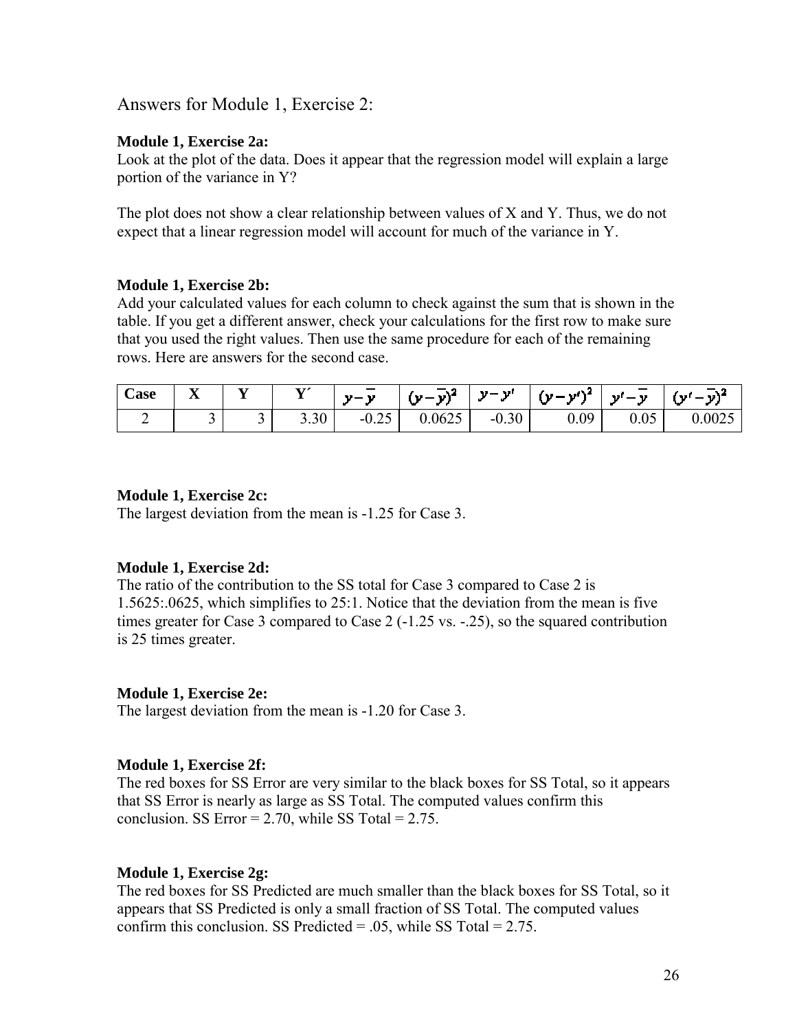Answers for Module 1, Exercise 2:

#### **Module 1, Exercise 2a:**

Look at the plot of the data. Does it appear that the regression model will explain a large portion of the variance in Y?

The plot does not show a clear relationship between values of X and Y. Thus, we do not expect that a linear regression model will account for much of the variance in Y.

#### **Module 1, Exercise 2b:**

Add your calculated values for each column to check against the sum that is shown in the table. If you get a different answer, check your calculations for the first row to make sure that you used the right values. Then use the same procedure for each of the remaining rows. Here are answers for the second case.

| $\sim$<br>$\cosh$ | $-$<br>ᆇ | - - | $\mathbf{v}$<br><b>.</b> | $\sim$<br>$\mathbf{v} = \mathbf{v}$ | $-1$<br>- v)*<br>' '' - | $\mathbf{v}$<br>- a st | $\mathbf{u} = \mathbf{v}^{N^2}$ | <b>The Contract of Street</b><br>- an I<br><b>1999</b><br>$\overline{\phantom{a}}$ | 's I   |
|-------------------|----------|-----|--------------------------|-------------------------------------|-------------------------|------------------------|---------------------------------|------------------------------------------------------------------------------------|--------|
|                   | ້        | ້   | 3.30                     | $\sim$ $\sim$<br>$-0.25$            | 0.0625                  | $-0.30$                | 0.09                            | 0.05                                                                               | 0.0025 |

#### **Module 1, Exercise 2c:**

The largest deviation from the mean is -1.25 for Case 3.

#### **Module 1, Exercise 2d:**

The ratio of the contribution to the SS total for Case 3 compared to Case 2 is 1.5625:.0625, which simplifies to 25:1. Notice that the deviation from the mean is five times greater for Case 3 compared to Case 2 (-1.25 vs. -.25), so the squared contribution is 25 times greater.

#### **Module 1, Exercise 2e:**

The largest deviation from the mean is -1.20 for Case 3.

#### **Module 1, Exercise 2f:**

The red boxes for SS Error are very similar to the black boxes for SS Total, so it appears that SS Error is nearly as large as SS Total. The computed values confirm this conclusion. SS Error =  $2.70$ , while SS Total =  $2.75$ .

#### **Module 1, Exercise 2g:**

The red boxes for SS Predicted are much smaller than the black boxes for SS Total, so it appears that SS Predicted is only a small fraction of SS Total. The computed values confirm this conclusion. SS Predicted  $= .05$ , while SS Total  $= 2.75$ .